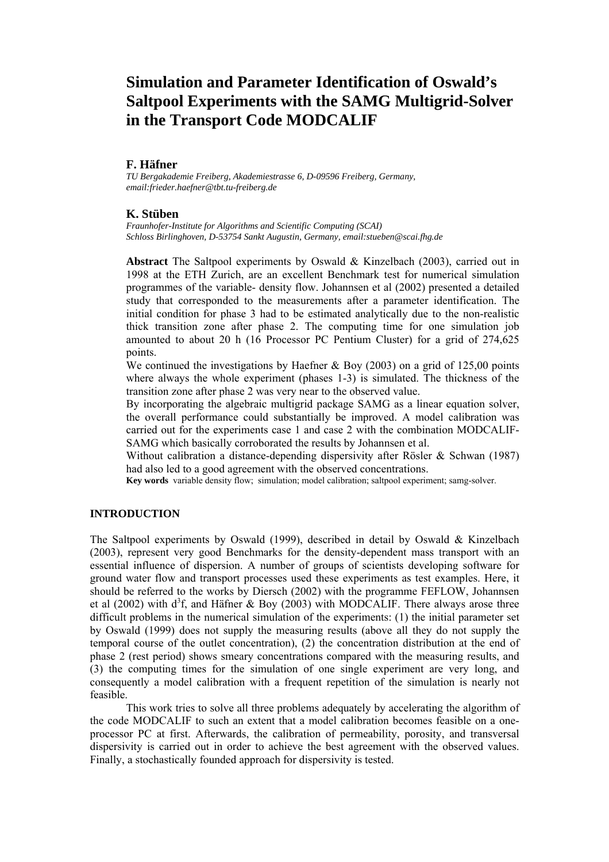# **Simulation and Parameter Identification of Oswald's Saltpool Experiments with the SAMG Multigrid-Solver in the Transport Code MODCALIF**

#### **F. Häfner**

*TU Bergakademie Freiberg, Akademiestrasse 6, D-09596 Freiberg, Germany, email:frieder.haefner@tbt.tu-freiberg.de* 

## **K. Stüben**

*Fraunhofer-Institute for Algorithms and Scientific Computing (SCAI) Schloss Birlinghoven, D-53754 Sankt Augustin, Germany, email:stueben@scai.fhg.de*

**Abstract** The Saltpool experiments by Oswald & Kinzelbach (2003), carried out in 1998 at the ETH Zurich, are an excellent Benchmark test for numerical simulation programmes of the variable- density flow. Johannsen et al (2002) presented a detailed study that corresponded to the measurements after a parameter identification. The initial condition for phase 3 had to be estimated analytically due to the non-realistic thick transition zone after phase 2. The computing time for one simulation job amounted to about 20 h (16 Processor PC Pentium Cluster) for a grid of 274,625 points.

We continued the investigations by Haefner & Boy (2003) on a grid of 125,00 points where always the whole experiment (phases 1-3) is simulated. The thickness of the transition zone after phase 2 was very near to the observed value.

By incorporating the algebraic multigrid package SAMG as a linear equation solver, the overall performance could substantially be improved. A model calibration was carried out for the experiments case 1 and case 2 with the combination MODCALIF-SAMG which basically corroborated the results by Johannsen et al.

Without calibration a distance-depending dispersivity after Rösler & Schwan (1987) had also led to a good agreement with the observed concentrations.

**Key words** variable density flow; simulation; model calibration; saltpool experiment; samg-solver.

## **INTRODUCTION**

The Saltpool experiments by Oswald (1999), described in detail by Oswald & Kinzelbach (2003), represent very good Benchmarks for the density-dependent mass transport with an essential influence of dispersion. A number of groups of scientists developing software for ground water flow and transport processes used these experiments as test examples. Here, it should be referred to the works by Diersch (2002) with the programme FEFLOW, Johannsen et al (2002) with  $d^3f$ , and Häfner & Boy (2003) with MODCALIF. There always arose three difficult problems in the numerical simulation of the experiments: (1) the initial parameter set by Oswald (1999) does not supply the measuring results (above all they do not supply the temporal course of the outlet concentration), (2) the concentration distribution at the end of phase 2 (rest period) shows smeary concentrations compared with the measuring results, and (3) the computing times for the simulation of one single experiment are very long, and consequently a model calibration with a frequent repetition of the simulation is nearly not feasible.

 This work tries to solve all three problems adequately by accelerating the algorithm of the code MODCALIF to such an extent that a model calibration becomes feasible on a oneprocessor PC at first. Afterwards, the calibration of permeability, porosity, and transversal dispersivity is carried out in order to achieve the best agreement with the observed values. Finally, a stochastically founded approach for dispersivity is tested.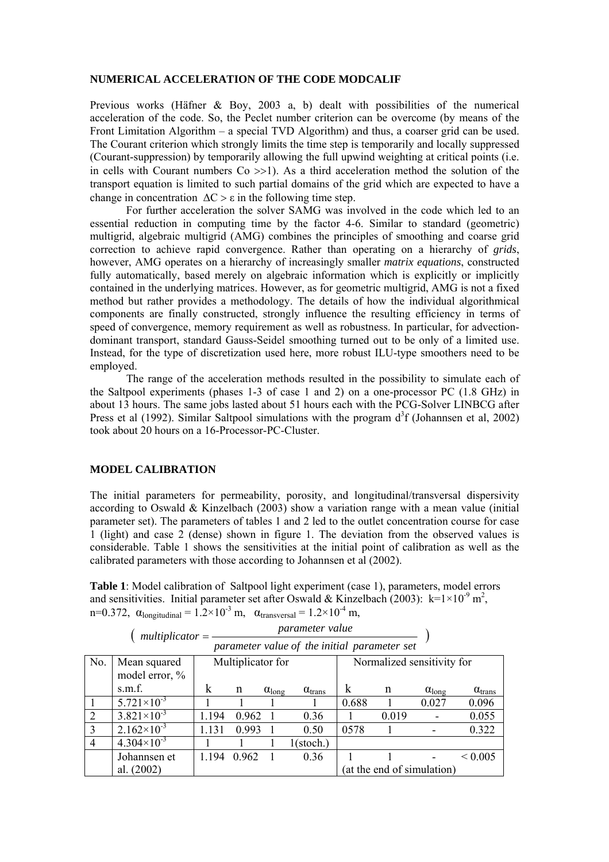## **NUMERICAL ACCELERATION OF THE CODE MODCALIF**

Previous works (Häfner & Boy, 2003 a, b) dealt with possibilities of the numerical acceleration of the code. So, the Peclet number criterion can be overcome (by means of the Front Limitation Algorithm – a special TVD Algorithm) and thus, a coarser grid can be used. The Courant criterion which strongly limits the time step is temporarily and locally suppressed (Courant-suppression) by temporarily allowing the full upwind weighting at critical points (i.e. in cells with Courant numbers  $Co \gg 1$ ). As a third acceleration method the solution of the transport equation is limited to such partial domains of the grid which are expected to have a change in concentration  $\Delta C > \varepsilon$  in the following time step.

 For further acceleration the solver SAMG was involved in the code which led to an essential reduction in computing time by the factor 4-6. Similar to standard (geometric) multigrid, algebraic multigrid (AMG) combines the principles of smoothing and coarse grid correction to achieve rapid convergence. Rather than operating on a hierarchy of *grids*, however, AMG operates on a hierarchy of increasingly smaller *matrix equations*, constructed fully automatically, based merely on algebraic information which is explicitly or implicitly contained in the underlying matrices. However, as for geometric multigrid, AMG is not a fixed method but rather provides a methodology. The details of how the individual algorithmical components are finally constructed, strongly influence the resulting efficiency in terms of speed of convergence, memory requirement as well as robustness. In particular, for advectiondominant transport, standard Gauss-Seidel smoothing turned out to be only of a limited use. Instead, for the type of discretization used here, more robust ILU-type smoothers need to be employed.

The range of the acceleration methods resulted in the possibility to simulate each of the Saltpool experiments (phases 1-3 of case 1 and 2) on a one-processor PC (1.8 GHz) in about 13 hours. The same jobs lasted about 51 hours each with the PCG-Solver LINBCG after Press et al (1992). Similar Saltpool simulations with the program  $d<sup>3</sup>f$  (Johannsen et al, 2002) took about 20 hours on a 16-Processor-PC-Cluster.

## **MODEL CALIBRATION**

The initial parameters for permeability, porosity, and longitudinal/transversal dispersivity according to Oswald & Kinzelbach (2003) show a variation range with a mean value (initial parameter set). The parameters of tables 1 and 2 led to the outlet concentration course for case 1 (light) and case 2 (dense) shown in figure 1. The deviation from the observed values is considerable. Table 1 shows the sensitivities at the initial point of calibration as well as the calibrated parameters with those according to Johannsen et al (2002).

**Table 1**: Model calibration of Saltpool light experiment (case 1), parameters, model errors and sensitivities. Initial parameter set after Oswald & Kinzelbach (2003):  $k=1\times10^{-9}$  m<sup>2</sup>, n=0.372,  $\alpha$ <sub>longitudinal</sub> =  $1.2 \times 10^{-3}$  m,  $\alpha$ <sub>transversal</sub> =  $1.2 \times 10^{-4}$  m,

| parameter value of the initial parameter set |                        |                   |       |                        |                           |                            |       |                        |                           |
|----------------------------------------------|------------------------|-------------------|-------|------------------------|---------------------------|----------------------------|-------|------------------------|---------------------------|
| No.                                          | Mean squared           | Multiplicator for |       |                        |                           | Normalized sensitivity for |       |                        |                           |
|                                              | model error, %         |                   |       |                        |                           |                            |       |                        |                           |
|                                              | s.m.f.                 | k                 | n     | $\alpha_{\text{long}}$ | $\alpha$ <sub>trans</sub> | k                          | n     | $\alpha_{\text{long}}$ | $\alpha$ <sub>trans</sub> |
|                                              | $5.721 \times 10^{-3}$ |                   |       |                        |                           | 0.688                      |       | 0.027                  | 0.096                     |
|                                              | $3.821\times10^{-3}$   | 1.194             | 0.962 |                        | 0.36                      |                            | 0.019 |                        | 0.055                     |
| $\mathcal{E}$                                | $2.162\times10^{-3}$   | 1 1 3 1           | 0.993 |                        | 0.50                      | 0578                       |       |                        | 0.322                     |
| 4                                            | $4.304\times10^{-3}$   |                   |       |                        | $1$ (stoch.)              |                            |       |                        |                           |
|                                              | Johannsen et           | 1 1 9 4           | 0.962 |                        | 0.36                      |                            |       |                        | ${}_{\leq 0.005}$         |
|                                              | al. $(2002)$           |                   |       |                        |                           | (at the end of simulation) |       |                        |                           |

| $multiplicator =$ | <i>parameter value</i>                       |  |
|-------------------|----------------------------------------------|--|
|                   | parameter value of the initial parameter set |  |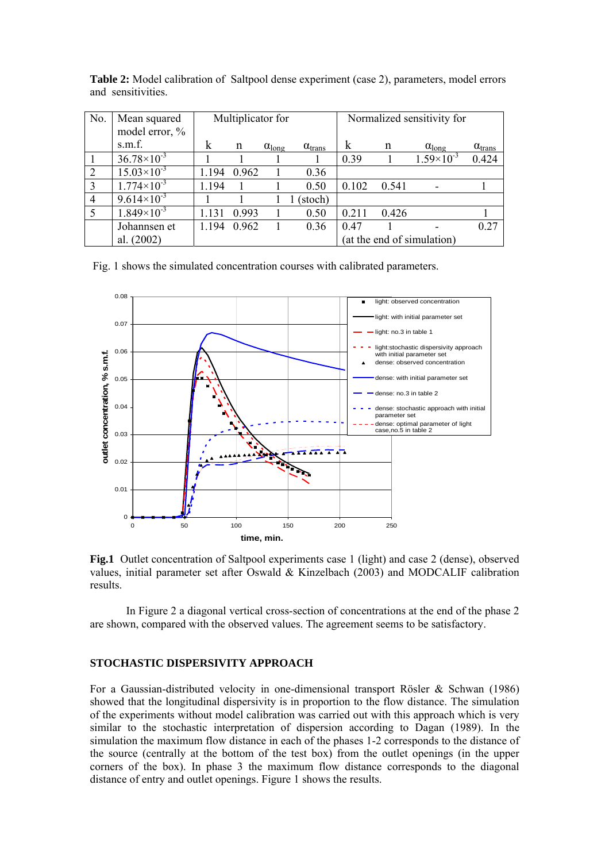| No.            | Mean squared<br>model error, % | Multiplicator for |       |                        |                           | Normalized sensitivity for |       |                        |                           |
|----------------|--------------------------------|-------------------|-------|------------------------|---------------------------|----------------------------|-------|------------------------|---------------------------|
|                | s.m.f.                         | k                 | n     | $\alpha_{\text{long}}$ | $\alpha$ <sub>trans</sub> | k                          | n     | $\alpha_{\text{long}}$ | $\alpha$ <sub>trans</sub> |
|                | $36.78\times10^{-3}$           |                   |       |                        |                           | 0.39                       |       | $1.59\times10^{-3}$    | 0.424                     |
| 2              | $15.03\times10^{-3}$           | 1.194             | 0.962 |                        | 0.36                      |                            |       |                        |                           |
| 3              | $1.774\times10^{-3}$           | 1.194             |       |                        | 0.50                      | 0.102                      | 0.541 |                        |                           |
| $\overline{4}$ | $9.614\times10^{-3}$           |                   |       |                        | (stoch)                   |                            |       |                        |                           |
| 5              | $1.849\times10^{-3}$           | 1 1 3 1           | 0.993 |                        | 0.50                      | 0.211                      | 0426  |                        |                           |
|                | Johannsen et                   | 1 1 9 4           | 0.962 | L                      | 0.36                      | 0.47                       |       |                        | 0.27                      |
|                | al. $(2002)$                   |                   |       |                        |                           | (at the end of simulation) |       |                        |                           |

**Table 2:** Model calibration of Saltpool dense experiment (case 2), parameters, model errors and sensitivities.

Fig. 1 shows the simulated concentration courses with calibrated parameters.



**Fig.1** Outlet concentration of Saltpool experiments case 1 (light) and case 2 (dense), observed values, initial parameter set after Oswald & Kinzelbach (2003) and MODCALIF calibration results.

 In Figure 2 a diagonal vertical cross-section of concentrations at the end of the phase 2 are shown, compared with the observed values. The agreement seems to be satisfactory.

# **STOCHASTIC DISPERSIVITY APPROACH**

For a Gaussian-distributed velocity in one-dimensional transport Rösler & Schwan (1986) showed that the longitudinal dispersivity is in proportion to the flow distance. The simulation of the experiments without model calibration was carried out with this approach which is very similar to the stochastic interpretation of dispersion according to Dagan (1989). In the simulation the maximum flow distance in each of the phases 1-2 corresponds to the distance of the source (centrally at the bottom of the test box) from the outlet openings (in the upper corners of the box). In phase 3 the maximum flow distance corresponds to the diagonal distance of entry and outlet openings. Figure 1 shows the results.